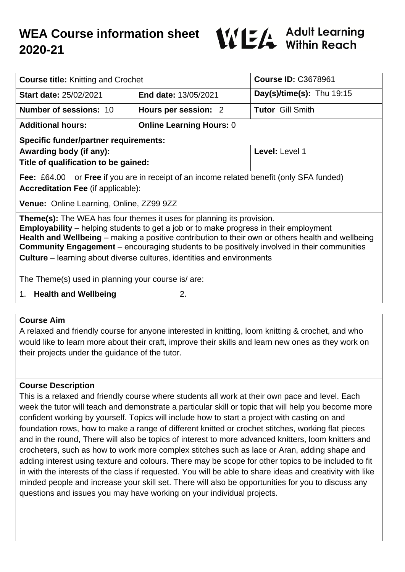# **WEA Course information sheet 2020-21**



| <b>Course title:</b> Knitting and Crochet                                                                                                                                                                                                                                                                                                                                                                                                                               |                                 | <b>Course ID: C3678961</b>  |
|-------------------------------------------------------------------------------------------------------------------------------------------------------------------------------------------------------------------------------------------------------------------------------------------------------------------------------------------------------------------------------------------------------------------------------------------------------------------------|---------------------------------|-----------------------------|
| <b>Start date: 25/02/2021</b>                                                                                                                                                                                                                                                                                                                                                                                                                                           | <b>End date: 13/05/2021</b>     | Day(s)/time(s): Thu $19:15$ |
| <b>Number of sessions: 10</b>                                                                                                                                                                                                                                                                                                                                                                                                                                           | Hours per session: 2            | <b>Tutor Gill Smith</b>     |
| <b>Additional hours:</b>                                                                                                                                                                                                                                                                                                                                                                                                                                                | <b>Online Learning Hours: 0</b> |                             |
| <b>Specific funder/partner requirements:</b>                                                                                                                                                                                                                                                                                                                                                                                                                            |                                 |                             |
| Awarding body (if any):                                                                                                                                                                                                                                                                                                                                                                                                                                                 |                                 | Level: Level 1              |
| Title of qualification to be gained:                                                                                                                                                                                                                                                                                                                                                                                                                                    |                                 |                             |
| <b>Fee:</b> £64.00 or <b>Free</b> if you are in receipt of an income related benefit (only SFA funded)                                                                                                                                                                                                                                                                                                                                                                  |                                 |                             |
| <b>Accreditation Fee (if applicable):</b>                                                                                                                                                                                                                                                                                                                                                                                                                               |                                 |                             |
| Venue: Online Learning, Online, ZZ99 9ZZ                                                                                                                                                                                                                                                                                                                                                                                                                                |                                 |                             |
| <b>Theme(s):</b> The WEA has four themes it uses for planning its provision.<br><b>Employability</b> – helping students to get a job or to make progress in their employment<br>Health and Wellbeing - making a positive contribution to their own or others health and wellbeing<br><b>Community Engagement</b> – encouraging students to be positively involved in their communities<br><b>Culture</b> – learning about diverse cultures, identities and environments |                                 |                             |
| The Theme(s) used in planning your course is/are:                                                                                                                                                                                                                                                                                                                                                                                                                       |                                 |                             |
| 1. Health and Wellbeing<br>2.                                                                                                                                                                                                                                                                                                                                                                                                                                           |                                 |                             |

#### **Course Aim**

A relaxed and friendly course for anyone interested in knitting, loom knitting & crochet, and who would like to learn more about their craft, improve their skills and learn new ones as they work on their projects under the guidance of the tutor.

## **Course Description**

This is a relaxed and friendly course where students all work at their own pace and level. Each week the tutor will teach and demonstrate a particular skill or topic that will help you become more confident working by yourself. Topics will include how to start a project with casting on and foundation rows, how to make a range of different knitted or crochet stitches, working flat pieces and in the round, There will also be topics of interest to more advanced knitters, loom knitters and crocheters, such as how to work more complex stitches such as lace or Aran, adding shape and adding interest using texture and colours. There may be scope for other topics to be included to fit in with the interests of the class if requested. You will be able to share ideas and creativity with like minded people and increase your skill set. There will also be opportunities for you to discuss any questions and issues you may have working on your individual projects.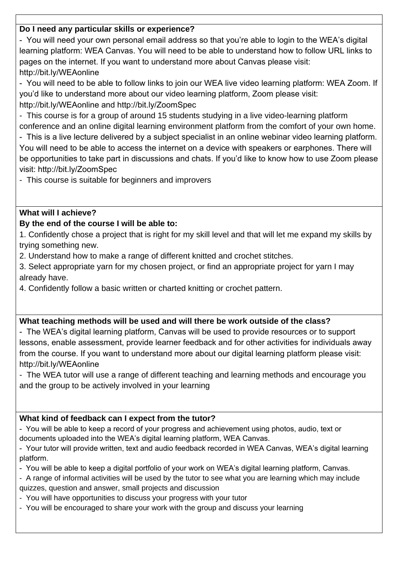# **Do I need any particular skills or experience?**

- You will need your own personal email address so that you're able to login to the WEA's digital learning platform: WEA Canvas. You will need to be able to understand how to follow URL links to pages on the internet. If you want to understand more about Canvas please visit: http://bit.ly/WEAonline

- You will need to be able to follow links to join our WEA live video learning platform: WEA Zoom. If you'd like to understand more about our video learning platform, Zoom please visit: http://bit.ly/WEAonline and http://bit.ly/ZoomSpec

- This course is for a group of around 15 students studying in a live video-learning platform conference and an online digital learning environment platform from the comfort of your own home.

- This is a live lecture delivered by a subject specialist in an online webinar video learning platform. You will need to be able to access the internet on a device with speakers or earphones. There will be opportunities to take part in discussions and chats. If you'd like to know how to use Zoom please visit: http://bit.ly/ZoomSpec

- This course is suitable for beginners and improvers

## **What will I achieve?**

# **By the end of the course I will be able to:**

1. Confidently chose a project that is right for my skill level and that will let me expand my skills by trying something new.

2. Understand how to make a range of different knitted and crochet stitches.

3. Select appropriate yarn for my chosen project, or find an appropriate project for yarn I may already have.

4. Confidently follow a basic written or charted knitting or crochet pattern.

## **What teaching methods will be used and will there be work outside of the class?**

- The WEA's digital learning platform, Canvas will be used to provide resources or to support lessons, enable assessment, provide learner feedback and for other activities for individuals away from the course. If you want to understand more about our digital learning platform please visit: http://bit.ly/WEAonline

- The WEA tutor will use a range of different teaching and learning methods and encourage you and the group to be actively involved in your learning

## **What kind of feedback can I expect from the tutor?**

- You will be able to keep a record of your progress and achievement using photos, audio, text or documents uploaded into the WEA's digital learning platform, WEA Canvas.

- Your tutor will provide written, text and audio feedback recorded in WEA Canvas, WEA's digital learning platform.

- You will be able to keep a digital portfolio of your work on WEA's digital learning platform, Canvas.

- A range of informal activities will be used by the tutor to see what you are learning which may include quizzes, question and answer, small projects and discussion

- You will have opportunities to discuss your progress with your tutor
- You will be encouraged to share your work with the group and discuss your learning